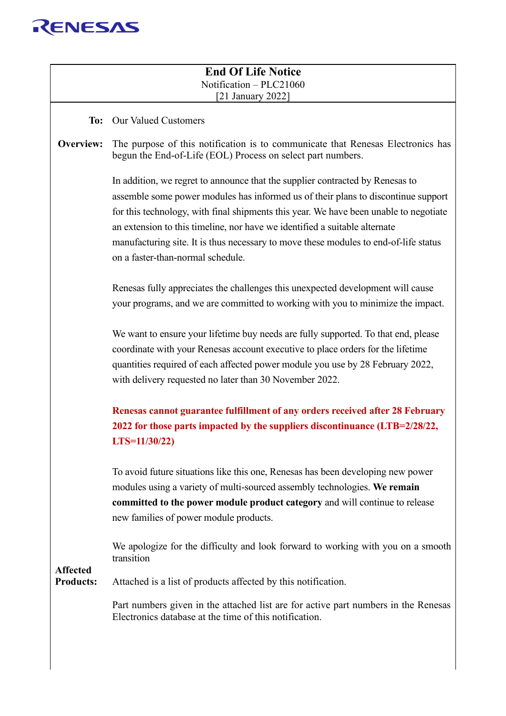

|                                     | <b>End Of Life Notice</b>                                                                                                                                           |
|-------------------------------------|---------------------------------------------------------------------------------------------------------------------------------------------------------------------|
|                                     | Notification - PLC21060<br>[21 January 2022]                                                                                                                        |
|                                     |                                                                                                                                                                     |
| To:                                 | <b>Our Valued Customers</b>                                                                                                                                         |
| Overview:                           | The purpose of this notification is to communicate that Renesas Electronics has<br>begun the End-of-Life (EOL) Process on select part numbers.                      |
|                                     | In addition, we regret to announce that the supplier contracted by Renesas to                                                                                       |
|                                     | assemble some power modules has informed us of their plans to discontinue support                                                                                   |
|                                     | for this technology, with final shipments this year. We have been unable to negotiate<br>an extension to this timeline, nor have we identified a suitable alternate |
|                                     | manufacturing site. It is thus necessary to move these modules to end-of-life status                                                                                |
|                                     | on a faster-than-normal schedule.                                                                                                                                   |
|                                     | Renesas fully appreciates the challenges this unexpected development will cause                                                                                     |
|                                     | your programs, and we are committed to working with you to minimize the impact.                                                                                     |
|                                     | We want to ensure your lifetime buy needs are fully supported. To that end, please                                                                                  |
|                                     | coordinate with your Renesas account executive to place orders for the lifetime                                                                                     |
|                                     | quantities required of each affected power module you use by 28 February 2022,                                                                                      |
|                                     | with delivery requested no later than 30 November 2022.                                                                                                             |
|                                     | Renesas cannot guarantee fulfillment of any orders received after 28 February                                                                                       |
|                                     | 2022 for those parts impacted by the suppliers discontinuance (LTB=2/28/22,                                                                                         |
|                                     | $LTS=11/30/22$                                                                                                                                                      |
|                                     | To avoid future situations like this one, Renesas has been developing new power                                                                                     |
|                                     | modules using a variety of multi-sourced assembly technologies. We remain                                                                                           |
|                                     | committed to the power module product category and will continue to release                                                                                         |
|                                     | new families of power module products.                                                                                                                              |
|                                     | We apologize for the difficulty and look forward to working with you on a smooth<br>transition                                                                      |
| <b>Affected</b><br><b>Products:</b> | Attached is a list of products affected by this notification.                                                                                                       |
|                                     | Part numbers given in the attached list are for active part numbers in the Renesas<br>Electronics database at the time of this notification.                        |
|                                     |                                                                                                                                                                     |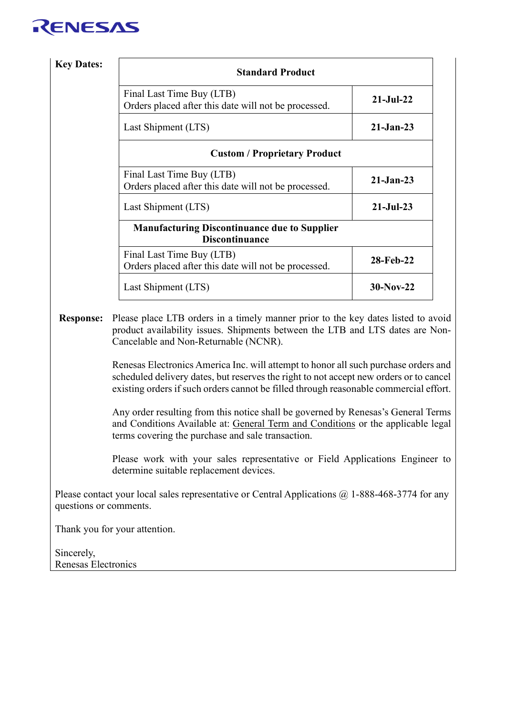| <b>Key Dates:</b> | <b>Standard Product</b>                                                           |               |
|-------------------|-----------------------------------------------------------------------------------|---------------|
|                   | Final Last Time Buy (LTB)<br>Orders placed after this date will not be processed. | $21-Jul-22$   |
|                   | Last Shipment (LTS)                                                               | $21-Jan-23$   |
|                   | <b>Custom / Proprietary Product</b>                                               |               |
|                   | Final Last Time Buy (LTB)<br>Orders placed after this date will not be processed. | $21 - Jan-23$ |
|                   | Last Shipment (LTS)                                                               | $21-Jul-23$   |
|                   | <b>Manufacturing Discontinuance due to Supplier</b><br><b>Discontinuance</b>      |               |
|                   | Final Last Time Buy (LTB)<br>Orders placed after this date will not be processed. | 28-Feb-22     |
|                   | Last Shipment (LTS)                                                               | $30-Nov-22$   |

**Response:** Please place LTB orders in a timely manner prior to the key dates listed to avoid product availability issues. Shipments between the LTB and LTS dates are Non-Cancelable and Non-Returnable (NCNR).

> Renesas Electronics America Inc. will attempt to honor all such purchase orders and scheduled delivery dates, but reserves the right to not accept new orders or to cancel existing orders if such orders cannot be filled through reasonable commercial effort.

> Any order resulting from this notice shall be governed by Renesas's General Terms and Conditions Available at: [General Term and Conditions](https://www.renesas.com/en-us/legal/other-terms/legal-terms-and-conditions.html) or the applicable legal terms covering the purchase and sale transaction.

> Please work with your sales representative or Field Applications Engineer to determine suitable replacement devices.

Please contact your local sales representative or Central Applications  $\omega$  1-888-468-3774 for any questions or comments.

Thank you for your attention.

Sincerely, Renesas Electronics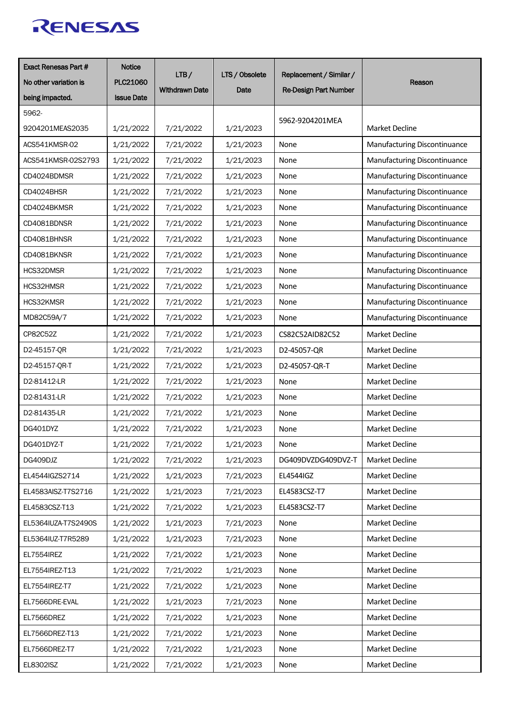| <b>Exact Renesas Part #</b> | <b>Notice</b><br>LTB/ |                       | LTS / Obsolete<br>Replacement / Similar / |                              |                              |  |
|-----------------------------|-----------------------|-----------------------|-------------------------------------------|------------------------------|------------------------------|--|
| No other variation is       | <b>PLC21060</b>       | <b>Withdrawn Date</b> | Date                                      |                              | Reason                       |  |
| being impacted.             | <b>Issue Date</b>     |                       |                                           | <b>Re-Design Part Number</b> |                              |  |
| 5962-                       |                       |                       |                                           |                              |                              |  |
| 9204201MEAS2035             | 1/21/2022             | 7/21/2022             | 1/21/2023                                 | 5962-9204201MEA              | <b>Market Decline</b>        |  |
| ACS541KMSR-02               | 1/21/2022             | 7/21/2022             | 1/21/2023                                 | None                         | Manufacturing Discontinuance |  |
| ACS541KMSR-02S2793          | 1/21/2022             | 7/21/2022             | 1/21/2023                                 | None                         | Manufacturing Discontinuance |  |
| CD4024BDMSR                 | 1/21/2022             | 7/21/2022             | 1/21/2023                                 | None                         | Manufacturing Discontinuance |  |
| CD4024BHSR                  | 1/21/2022             | 7/21/2022             | 1/21/2023                                 | None                         | Manufacturing Discontinuance |  |
| CD4024BKMSR                 | 1/21/2022             | 7/21/2022             | 1/21/2023                                 | None                         | Manufacturing Discontinuance |  |
| CD4081BDNSR                 | 1/21/2022             | 7/21/2022             | 1/21/2023                                 | None                         | Manufacturing Discontinuance |  |
| CD4081BHNSR                 | 1/21/2022             | 7/21/2022             | 1/21/2023                                 | None                         | Manufacturing Discontinuance |  |
| CD4081BKNSR                 | 1/21/2022             | 7/21/2022             | 1/21/2023                                 | None                         | Manufacturing Discontinuance |  |
| HCS32DMSR                   | 1/21/2022             | 7/21/2022             | 1/21/2023                                 | None                         | Manufacturing Discontinuance |  |
| HCS32HMSR                   | 1/21/2022             | 7/21/2022             | 1/21/2023                                 | None                         | Manufacturing Discontinuance |  |
| HCS32KMSR                   | 1/21/2022             | 7/21/2022             | 1/21/2023                                 | None                         | Manufacturing Discontinuance |  |
| MD82C59A/7                  | 1/21/2022             | 7/21/2022             | 1/21/2023                                 | None                         | Manufacturing Discontinuance |  |
| CP82C52Z                    | 1/21/2022             | 7/21/2022             | 1/21/2023                                 | CS82C52AID82C52              | <b>Market Decline</b>        |  |
| D2-45157-QR                 | 1/21/2022             | 7/21/2022             | 1/21/2023                                 | D2-45057-QR                  | <b>Market Decline</b>        |  |
| D2-45157-QR-T               | 1/21/2022             | 7/21/2022             | 1/21/2023                                 | D2-45057-QR-T                | <b>Market Decline</b>        |  |
| D2-81412-LR                 | 1/21/2022             | 7/21/2022             | 1/21/2023                                 | None                         | <b>Market Decline</b>        |  |
| D2-81431-LR                 | 1/21/2022             | 7/21/2022             | 1/21/2023                                 | None                         | Market Decline               |  |
| D2-81435-LR                 | 1/21/2022             | 7/21/2022             | 1/21/2023                                 | None                         | Market Decline               |  |
| DG401DYZ                    | 1/21/2022             | 7/21/2022             | 1/21/2023                                 | None                         | <b>Market Decline</b>        |  |
| DG401DYZ-T                  | 1/21/2022             | 7/21/2022             | 1/21/2023                                 | None                         | Market Decline               |  |
| DG409DJZ                    | 1/21/2022             | 7/21/2022             | 1/21/2023                                 | DG409DVZDG409DVZ-T           | Market Decline               |  |
| EL4544IGZS2714              | 1/21/2022             | 1/21/2023             | 7/21/2023                                 | EL4544IGZ                    | Market Decline               |  |
| EL4583AISZ-T7S2716          | 1/21/2022             | 1/21/2023             | 7/21/2023                                 | EL4583CSZ-T7                 | Market Decline               |  |
| EL4583CSZ-T13               | 1/21/2022             | 7/21/2022             | 1/21/2023                                 | EL4583CSZ-T7                 | Market Decline               |  |
| EL5364IUZA-T7S2490S         | 1/21/2022             | 1/21/2023             | 7/21/2023                                 | None                         | Market Decline               |  |
| EL5364IUZ-T7R5289           | 1/21/2022             | 1/21/2023             | 7/21/2023                                 | None                         | Market Decline               |  |
| EL7554IREZ                  | 1/21/2022             | 7/21/2022             | 1/21/2023                                 | None                         | Market Decline               |  |
| EL7554IREZ-T13              | 1/21/2022             | 7/21/2022             | 1/21/2023                                 | None                         | Market Decline               |  |
| EL7554IREZ-T7               | 1/21/2022             | 7/21/2022             | 1/21/2023                                 | None                         | Market Decline               |  |
| EL7566DRE-EVAL              | 1/21/2022             | 1/21/2023             | 7/21/2023                                 | None                         | Market Decline               |  |
| EL7566DREZ                  | 1/21/2022             | 7/21/2022             | 1/21/2023                                 | None                         | Market Decline               |  |
| EL7566DREZ-T13              | 1/21/2022             | 7/21/2022             | 1/21/2023                                 | None                         | Market Decline               |  |
| EL7566DREZ-T7               | 1/21/2022             | 7/21/2022             | 1/21/2023                                 | None                         | Market Decline               |  |
| EL8302ISZ                   | 1/21/2022             | 7/21/2022             | 1/21/2023                                 | None                         | Market Decline               |  |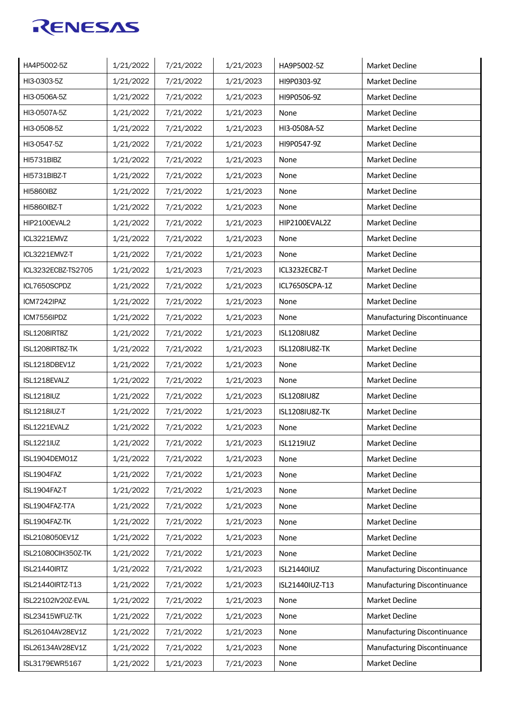| HA4P5002-5Z         | 1/21/2022 | 7/21/2022 | 1/21/2023 | HA9P5002-5Z           | Market Decline               |
|---------------------|-----------|-----------|-----------|-----------------------|------------------------------|
| HI3-0303-5Z         | 1/21/2022 | 7/21/2022 | 1/21/2023 | HI9P0303-9Z           | Market Decline               |
| HI3-0506A-5Z        | 1/21/2022 | 7/21/2022 | 1/21/2023 | HI9P0506-9Z           | <b>Market Decline</b>        |
| HI3-0507A-5Z        | 1/21/2022 | 7/21/2022 | 1/21/2023 | None                  | Market Decline               |
| HI3-0508-5Z         | 1/21/2022 | 7/21/2022 | 1/21/2023 | HI3-0508A-5Z          | <b>Market Decline</b>        |
| HI3-0547-5Z         | 1/21/2022 | 7/21/2022 | 1/21/2023 | HI9P0547-9Z           | <b>Market Decline</b>        |
| <b>HI5731BIBZ</b>   | 1/21/2022 | 7/21/2022 | 1/21/2023 | None                  | <b>Market Decline</b>        |
| HI5731BIBZ-T        | 1/21/2022 | 7/21/2022 | 1/21/2023 | None                  | Market Decline               |
| <b>HI5860IBZ</b>    | 1/21/2022 | 7/21/2022 | 1/21/2023 | None                  | <b>Market Decline</b>        |
| <b>HI5860IBZ-T</b>  | 1/21/2022 | 7/21/2022 | 1/21/2023 | None                  | <b>Market Decline</b>        |
| HIP2100EVAL2        | 1/21/2022 | 7/21/2022 | 1/21/2023 | HIP2100EVAL2Z         | <b>Market Decline</b>        |
| ICL3221EMVZ         | 1/21/2022 | 7/21/2022 | 1/21/2023 | None                  | <b>Market Decline</b>        |
| ICL3221EMVZ-T       | 1/21/2022 | 7/21/2022 | 1/21/2023 | None                  | Market Decline               |
| ICL3232ECBZ-TS2705  | 1/21/2022 | 1/21/2023 | 7/21/2023 | ICL3232ECBZ-T         | Market Decline               |
| ICL7650SCPDZ        | 1/21/2022 | 7/21/2022 | 1/21/2023 | ICL7650SCPA-1Z        | <b>Market Decline</b>        |
| ICM7242IPAZ         | 1/21/2022 | 7/21/2022 | 1/21/2023 | None                  | <b>Market Decline</b>        |
| ICM7556IPDZ         | 1/21/2022 | 7/21/2022 | 1/21/2023 | None                  | Manufacturing Discontinuance |
| ISL1208IRT8Z        | 1/21/2022 | 7/21/2022 | 1/21/2023 | ISL1208IU8Z           | <b>Market Decline</b>        |
| ISL1208IRT8Z-TK     | 1/21/2022 | 7/21/2022 | 1/21/2023 | <b>ISL1208IU8Z-TK</b> | Market Decline               |
| ISL1218DBEV1Z       | 1/21/2022 | 7/21/2022 | 1/21/2023 | None                  | Market Decline               |
| ISL1218EVALZ        | 1/21/2022 | 7/21/2022 | 1/21/2023 | None                  | Market Decline               |
| <b>ISL1218IUZ</b>   | 1/21/2022 | 7/21/2022 | 1/21/2023 | ISL1208IU8Z           | Market Decline               |
| <b>ISL1218IUZ-T</b> | 1/21/2022 | 7/21/2022 | 1/21/2023 | <b>ISL1208IU8Z-TK</b> | Market Decline               |
| ISL1221EVALZ        | 1/21/2022 | 7/21/2022 | 1/21/2023 | None                  | Market Decline               |
| <b>ISL1221IUZ</b>   | 1/21/2022 | 7/21/2022 | 1/21/2023 | ISL1219IUZ            | Market Decline               |
| ISL1904DEMO1Z       | 1/21/2022 | 7/21/2022 | 1/21/2023 | None                  | Market Decline               |
| ISL1904FAZ          | 1/21/2022 | 7/21/2022 | 1/21/2023 | None                  | Market Decline               |
| ISL1904FAZ-T        | 1/21/2022 | 7/21/2022 | 1/21/2023 | None                  | Market Decline               |
| ISL1904FAZ-T7A      | 1/21/2022 | 7/21/2022 | 1/21/2023 | None                  | Market Decline               |
| ISL1904FAZ-TK       | 1/21/2022 | 7/21/2022 | 1/21/2023 | None                  | Market Decline               |
| ISL2108050EV1Z      | 1/21/2022 | 7/21/2022 | 1/21/2023 | None                  | Market Decline               |
| ISL21080CIH350Z-TK  | 1/21/2022 | 7/21/2022 | 1/21/2023 | None                  | Market Decline               |
| ISL21440IRTZ        | 1/21/2022 | 7/21/2022 | 1/21/2023 | ISL21440IUZ           | Manufacturing Discontinuance |
| ISL21440IRTZ-T13    | 1/21/2022 | 7/21/2022 | 1/21/2023 | ISL21440IUZ-T13       | Manufacturing Discontinuance |
| ISL22102IV20Z-EVAL  | 1/21/2022 | 7/21/2022 | 1/21/2023 | None                  | Market Decline               |
| ISL23415WFUZ-TK     | 1/21/2022 | 7/21/2022 | 1/21/2023 | None                  | Market Decline               |
| ISL26104AV28EV1Z    | 1/21/2022 | 7/21/2022 | 1/21/2023 | None                  | Manufacturing Discontinuance |
| ISL26134AV28EV1Z    | 1/21/2022 | 7/21/2022 | 1/21/2023 | None                  | Manufacturing Discontinuance |
| ISL3179EWR5167      | 1/21/2022 | 1/21/2023 | 7/21/2023 | None                  | Market Decline               |
|                     |           |           |           |                       |                              |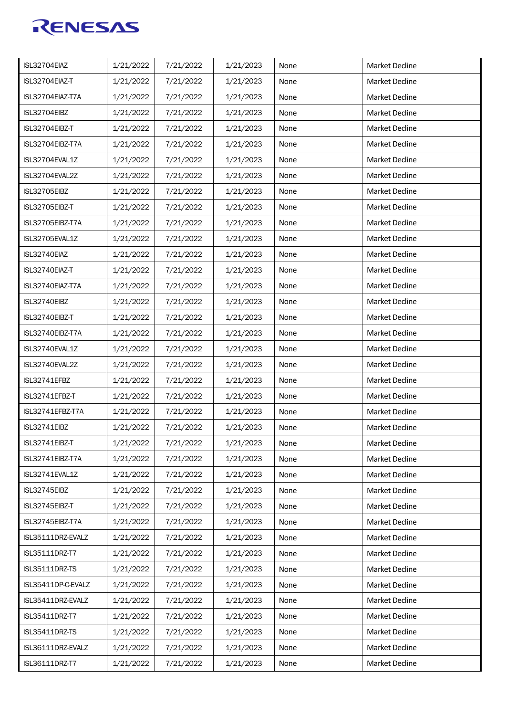| ISL32704EIAZ       | 1/21/2022 | 7/21/2022 | 1/21/2023 | None | Market Decline        |
|--------------------|-----------|-----------|-----------|------|-----------------------|
| ISL32704EIAZ-T     | 1/21/2022 | 7/21/2022 | 1/21/2023 | None | Market Decline        |
| ISL32704EIAZ-T7A   | 1/21/2022 | 7/21/2022 | 1/21/2023 | None | Market Decline        |
| ISL32704EIBZ       | 1/21/2022 | 7/21/2022 | 1/21/2023 | None | Market Decline        |
| ISL32704EIBZ-T     | 1/21/2022 | 7/21/2022 | 1/21/2023 | None | Market Decline        |
| ISL32704EIBZ-T7A   | 1/21/2022 | 7/21/2022 | 1/21/2023 | None | <b>Market Decline</b> |
| ISL32704EVAL1Z     | 1/21/2022 | 7/21/2022 | 1/21/2023 | None | <b>Market Decline</b> |
| ISL32704EVAL2Z     | 1/21/2022 | 7/21/2022 | 1/21/2023 | None | <b>Market Decline</b> |
| ISL32705EIBZ       | 1/21/2022 | 7/21/2022 | 1/21/2023 | None | <b>Market Decline</b> |
| ISL32705EIBZ-T     | 1/21/2022 | 7/21/2022 | 1/21/2023 | None | <b>Market Decline</b> |
| ISL32705EIBZ-T7A   | 1/21/2022 | 7/21/2022 | 1/21/2023 | None | <b>Market Decline</b> |
| ISL32705EVAL1Z     | 1/21/2022 | 7/21/2022 | 1/21/2023 | None | <b>Market Decline</b> |
| ISL32740EIAZ       | 1/21/2022 | 7/21/2022 | 1/21/2023 | None | <b>Market Decline</b> |
| ISL32740EIAZ-T     | 1/21/2022 | 7/21/2022 | 1/21/2023 | None | Market Decline        |
| ISL32740EIAZ-T7A   | 1/21/2022 | 7/21/2022 | 1/21/2023 | None | <b>Market Decline</b> |
| ISL32740EIBZ       | 1/21/2022 | 7/21/2022 | 1/21/2023 | None | <b>Market Decline</b> |
| ISL32740EIBZ-T     | 1/21/2022 | 7/21/2022 | 1/21/2023 | None | <b>Market Decline</b> |
| ISL32740EIBZ-T7A   | 1/21/2022 | 7/21/2022 | 1/21/2023 | None | <b>Market Decline</b> |
| ISL32740EVAL1Z     | 1/21/2022 | 7/21/2022 | 1/21/2023 | None | <b>Market Decline</b> |
| ISL32740EVAL2Z     | 1/21/2022 | 7/21/2022 | 1/21/2023 | None | <b>Market Decline</b> |
| ISL32741EFBZ       | 1/21/2022 | 7/21/2022 | 1/21/2023 | None | Market Decline        |
| ISL32741EFBZ-T     | 1/21/2022 | 7/21/2022 | 1/21/2023 | None | <b>Market Decline</b> |
| ISL32741EFBZ-T7A   | 1/21/2022 | 7/21/2022 | 1/21/2023 | None | Market Decline        |
| ISL32741EIBZ       | 1/21/2022 | 7/21/2022 | 1/21/2023 | None | Market Decline        |
| ISL32741EIBZ-T     | 1/21/2022 | 7/21/2022 | 1/21/2023 | None | Market Decline        |
| ISL32741EIBZ-T7A   | 1/21/2022 | 7/21/2022 | 1/21/2023 | None | Market Decline        |
| ISL32741EVAL1Z     | 1/21/2022 | 7/21/2022 | 1/21/2023 | None | Market Decline        |
| ISL32745EIBZ       | 1/21/2022 | 7/21/2022 | 1/21/2023 | None | Market Decline        |
| ISL32745EIBZ-T     | 1/21/2022 | 7/21/2022 | 1/21/2023 | None | Market Decline        |
| ISL32745EIBZ-T7A   | 1/21/2022 | 7/21/2022 | 1/21/2023 | None | Market Decline        |
| ISL35111DRZ-EVALZ  | 1/21/2022 | 7/21/2022 | 1/21/2023 | None | Market Decline        |
| ISL35111DRZ-T7     | 1/21/2022 | 7/21/2022 | 1/21/2023 | None | Market Decline        |
| ISL35111DRZ-TS     | 1/21/2022 | 7/21/2022 | 1/21/2023 | None | Market Decline        |
| ISL35411DP-C-EVALZ | 1/21/2022 | 7/21/2022 | 1/21/2023 | None | Market Decline        |
| ISL35411DRZ-EVALZ  | 1/21/2022 | 7/21/2022 | 1/21/2023 | None | Market Decline        |
| ISL35411DRZ-T7     | 1/21/2022 | 7/21/2022 | 1/21/2023 | None | Market Decline        |
| ISL35411DRZ-TS     | 1/21/2022 | 7/21/2022 | 1/21/2023 | None | Market Decline        |
| ISL36111DRZ-EVALZ  | 1/21/2022 | 7/21/2022 | 1/21/2023 | None | Market Decline        |
| ISL36111DRZ-T7     | 1/21/2022 | 7/21/2022 | 1/21/2023 | None | Market Decline        |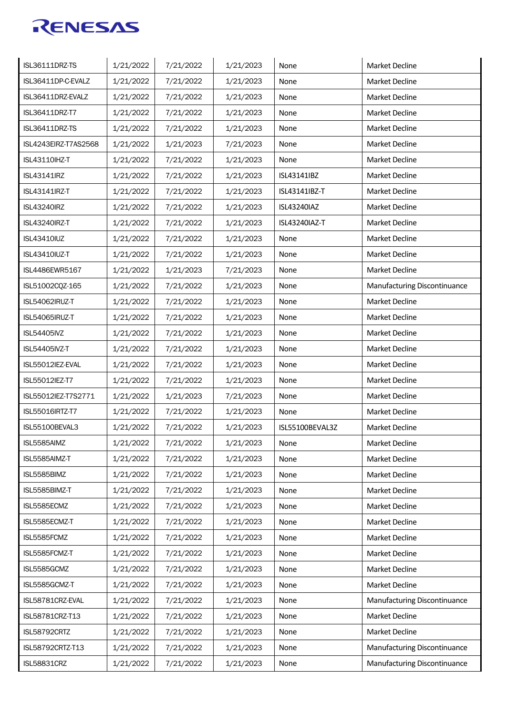| <b>ISL36111DRZ-TS</b> | 1/21/2022 | 7/21/2022 | 1/21/2023 | None            | Market Decline               |
|-----------------------|-----------|-----------|-----------|-----------------|------------------------------|
| ISL36411DP-C-EVALZ    | 1/21/2022 | 7/21/2022 | 1/21/2023 | None            | Market Decline               |
| ISL36411DRZ-EVALZ     | 1/21/2022 | 7/21/2022 | 1/21/2023 | None            | Market Decline               |
| ISL36411DRZ-T7        | 1/21/2022 | 7/21/2022 | 1/21/2023 | None            | Market Decline               |
| ISL36411DRZ-TS        | 1/21/2022 | 7/21/2022 | 1/21/2023 | None            | Market Decline               |
| ISL4243EIRZ-T7AS2568  | 1/21/2022 | 1/21/2023 | 7/21/2023 | None            | <b>Market Decline</b>        |
| <b>ISL43110IHZ-T</b>  | 1/21/2022 | 7/21/2022 | 1/21/2023 | None            | <b>Market Decline</b>        |
| <b>ISL43141IRZ</b>    | 1/21/2022 | 7/21/2022 | 1/21/2023 | ISL43141IBZ     | Market Decline               |
| ISL43141IRZ-T         | 1/21/2022 | 7/21/2022 | 1/21/2023 | ISL43141IBZ-T   | <b>Market Decline</b>        |
| <b>ISL43240IRZ</b>    | 1/21/2022 | 7/21/2022 | 1/21/2023 | ISL43240IAZ     | <b>Market Decline</b>        |
| <b>ISL43240IRZ-T</b>  | 1/21/2022 | 7/21/2022 | 1/21/2023 | ISL43240IAZ-T   | <b>Market Decline</b>        |
| <b>ISL43410IUZ</b>    | 1/21/2022 | 7/21/2022 | 1/21/2023 | None            | <b>Market Decline</b>        |
| <b>ISL43410IUZ-T</b>  | 1/21/2022 | 7/21/2022 | 1/21/2023 | None            | Market Decline               |
| ISL4486EWR5167        | 1/21/2022 | 1/21/2023 | 7/21/2023 | None            | Market Decline               |
| ISL51002CQZ-165       | 1/21/2022 | 7/21/2022 | 1/21/2023 | None            | Manufacturing Discontinuance |
| ISL54062IRUZ-T        | 1/21/2022 | 7/21/2022 | 1/21/2023 | None            | <b>Market Decline</b>        |
| ISL54065IRUZ-T        | 1/21/2022 | 7/21/2022 | 1/21/2023 | None            | <b>Market Decline</b>        |
| <b>ISL54405IVZ</b>    | 1/21/2022 | 7/21/2022 | 1/21/2023 | None            | <b>Market Decline</b>        |
| <b>ISL54405IVZ-T</b>  | 1/21/2022 | 7/21/2022 | 1/21/2023 | None            | Market Decline               |
| ISL55012IEZ-EVAL      | 1/21/2022 | 7/21/2022 | 1/21/2023 | None            | Market Decline               |
| ISL55012IEZ-T7        | 1/21/2022 | 7/21/2022 | 1/21/2023 | None            | Market Decline               |
| ISL55012IEZ-T7S2771   | 1/21/2022 | 1/21/2023 | 7/21/2023 | None            | Market Decline               |
| ISL55016IRTZ-T7       | 1/21/2022 | 7/21/2022 | 1/21/2023 | None            | <b>Market Decline</b>        |
| ISL55100BEVAL3        | 1/21/2022 | 7/21/2022 | 1/21/2023 | ISL55100BEVAL3Z | Market Decline               |
| ISL5585AIMZ           | 1/21/2022 | 7/21/2022 | 1/21/2023 | None            | Market Decline               |
| ISL5585AIMZ-T         | 1/21/2022 | 7/21/2022 | 1/21/2023 | None            | Market Decline               |
| ISL5585BIMZ           | 1/21/2022 | 7/21/2022 | 1/21/2023 | None            | Market Decline               |
| ISL5585BIMZ-T         | 1/21/2022 | 7/21/2022 | 1/21/2023 | None            | Market Decline               |
| ISL5585ECMZ           | 1/21/2022 | 7/21/2022 | 1/21/2023 | None            | Market Decline               |
| ISL5585ECMZ-T         | 1/21/2022 | 7/21/2022 | 1/21/2023 | None            | Market Decline               |
| ISL5585FCMZ           | 1/21/2022 | 7/21/2022 | 1/21/2023 | None            | Market Decline               |
| ISL5585FCMZ-T         | 1/21/2022 | 7/21/2022 | 1/21/2023 | None            | Market Decline               |
| ISL5585GCMZ           | 1/21/2022 | 7/21/2022 | 1/21/2023 | None            | Market Decline               |
| ISL5585GCMZ-T         | 1/21/2022 | 7/21/2022 | 1/21/2023 | None            | Market Decline               |
| ISL58781CRZ-EVAL      | 1/21/2022 | 7/21/2022 | 1/21/2023 | None            | Manufacturing Discontinuance |
| ISL58781CRZ-T13       | 1/21/2022 | 7/21/2022 | 1/21/2023 | None            | Market Decline               |
| ISL58792CRTZ          | 1/21/2022 | 7/21/2022 | 1/21/2023 | None            | Market Decline               |
| ISL58792CRTZ-T13      | 1/21/2022 | 7/21/2022 | 1/21/2023 | None            | Manufacturing Discontinuance |
| <b>ISL58831CRZ</b>    | 1/21/2022 | 7/21/2022 | 1/21/2023 | None            | Manufacturing Discontinuance |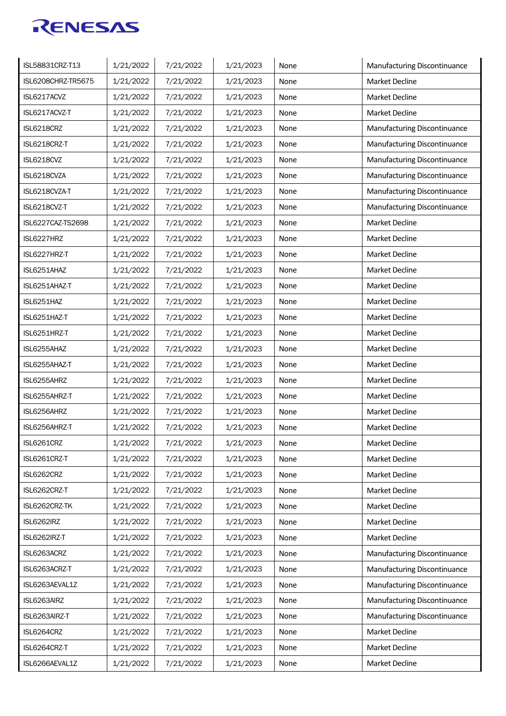| ISL58831CRZ-T13    | 1/21/2022 | 7/21/2022 | 1/21/2023 | None | Manufacturing Discontinuance |
|--------------------|-----------|-----------|-----------|------|------------------------------|
| ISL6208CHRZ-TR5675 | 1/21/2022 | 7/21/2022 | 1/21/2023 | None | <b>Market Decline</b>        |
| ISL6217ACVZ        | 1/21/2022 | 7/21/2022 | 1/21/2023 | None | Market Decline               |
| ISL6217ACVZ-T      | 1/21/2022 | 7/21/2022 | 1/21/2023 | None | Market Decline               |
| ISL6218CRZ         | 1/21/2022 | 7/21/2022 | 1/21/2023 | None | Manufacturing Discontinuance |
| ISL6218CRZ-T       | 1/21/2022 | 7/21/2022 | 1/21/2023 | None | Manufacturing Discontinuance |
| ISL6218CVZ         | 1/21/2022 | 7/21/2022 | 1/21/2023 | None | Manufacturing Discontinuance |
| ISL6218CVZA        | 1/21/2022 | 7/21/2022 | 1/21/2023 | None | Manufacturing Discontinuance |
| ISL6218CVZA-T      | 1/21/2022 | 7/21/2022 | 1/21/2023 | None | Manufacturing Discontinuance |
| ISL6218CVZ-T       | 1/21/2022 | 7/21/2022 | 1/21/2023 | None | Manufacturing Discontinuance |
| ISL6227CAZ-TS2698  | 1/21/2022 | 7/21/2022 | 1/21/2023 | None | <b>Market Decline</b>        |
| ISL6227HRZ         | 1/21/2022 | 7/21/2022 | 1/21/2023 | None | <b>Market Decline</b>        |
| ISL6227HRZ-T       | 1/21/2022 | 7/21/2022 | 1/21/2023 | None | <b>Market Decline</b>        |
| ISL6251AHAZ        | 1/21/2022 | 7/21/2022 | 1/21/2023 | None | Market Decline               |
| ISL6251AHAZ-T      | 1/21/2022 | 7/21/2022 | 1/21/2023 | None | Market Decline               |
| ISL6251HAZ         | 1/21/2022 | 7/21/2022 | 1/21/2023 | None | <b>Market Decline</b>        |
| ISL6251HAZ-T       | 1/21/2022 | 7/21/2022 | 1/21/2023 | None | <b>Market Decline</b>        |
| ISL6251HRZ-T       | 1/21/2022 | 7/21/2022 | 1/21/2023 | None | Market Decline               |
| ISL6255AHAZ        | 1/21/2022 | 7/21/2022 | 1/21/2023 | None | Market Decline               |
| ISL6255AHAZ-T      | 1/21/2022 | 7/21/2022 | 1/21/2023 | None | Market Decline               |
| ISL6255AHRZ        | 1/21/2022 | 7/21/2022 | 1/21/2023 | None | Market Decline               |
| ISL6255AHRZ-T      | 1/21/2022 | 7/21/2022 | 1/21/2023 | None | Market Decline               |
| ISL6256AHRZ        | 1/21/2022 | 7/21/2022 | 1/21/2023 | None | Market Decline               |
| ISL6256AHRZ-T      | 1/21/2022 | 7/21/2022 | 1/21/2023 | None | Market Decline               |
| ISL6261CRZ         | 1/21/2022 | 7/21/2022 | 1/21/2023 | None | Market Decline               |
| ISL6261CRZ-T       | 1/21/2022 | 7/21/2022 | 1/21/2023 | None | Market Decline               |
| ISL6262CRZ         | 1/21/2022 | 7/21/2022 | 1/21/2023 | None | Market Decline               |
| ISL6262CRZ-T       | 1/21/2022 | 7/21/2022 | 1/21/2023 | None | Market Decline               |
| ISL6262CRZ-TK      | 1/21/2022 | 7/21/2022 | 1/21/2023 | None | Market Decline               |
| <b>ISL6262IRZ</b>  | 1/21/2022 | 7/21/2022 | 1/21/2023 | None | Market Decline               |
| ISL6262IRZ-T       | 1/21/2022 | 7/21/2022 | 1/21/2023 | None | Market Decline               |
| ISL6263ACRZ        | 1/21/2022 | 7/21/2022 | 1/21/2023 | None | Manufacturing Discontinuance |
| ISL6263ACRZ-T      | 1/21/2022 | 7/21/2022 | 1/21/2023 | None | Manufacturing Discontinuance |
| ISL6263AEVAL1Z     | 1/21/2022 | 7/21/2022 | 1/21/2023 | None | Manufacturing Discontinuance |
| ISL6263AIRZ        | 1/21/2022 | 7/21/2022 | 1/21/2023 | None | Manufacturing Discontinuance |
| ISL6263AIRZ-T      | 1/21/2022 | 7/21/2022 | 1/21/2023 | None | Manufacturing Discontinuance |
| ISL6264CRZ         | 1/21/2022 | 7/21/2022 | 1/21/2023 | None | Market Decline               |
| ISL6264CRZ-T       | 1/21/2022 | 7/21/2022 | 1/21/2023 | None | Market Decline               |
| ISL6266AEVAL1Z     | 1/21/2022 | 7/21/2022 | 1/21/2023 | None | Market Decline               |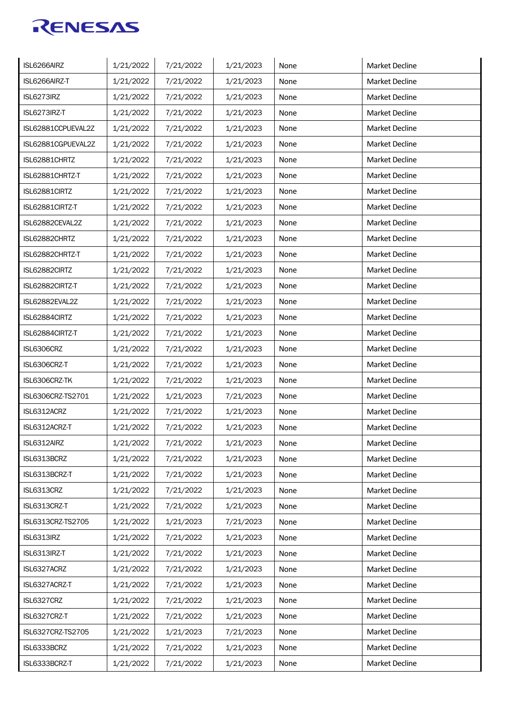| ISL6266AIRZ        | 1/21/2022 | 7/21/2022 | 1/21/2023 | None | Market Decline        |
|--------------------|-----------|-----------|-----------|------|-----------------------|
| ISL6266AIRZ-T      | 1/21/2022 | 7/21/2022 | 1/21/2023 | None | Market Decline        |
| ISL6273IRZ         | 1/21/2022 | 7/21/2022 | 1/21/2023 | None | Market Decline        |
| ISL6273IRZ-T       | 1/21/2022 | 7/21/2022 | 1/21/2023 | None | <b>Market Decline</b> |
| ISL62881CCPUEVAL2Z | 1/21/2022 | 7/21/2022 | 1/21/2023 | None | <b>Market Decline</b> |
| ISL62881CGPUEVAL2Z | 1/21/2022 | 7/21/2022 | 1/21/2023 | None | <b>Market Decline</b> |
| ISL62881CHRTZ      | 1/21/2022 | 7/21/2022 | 1/21/2023 | None | <b>Market Decline</b> |
| ISL62881CHRTZ-T    | 1/21/2022 | 7/21/2022 | 1/21/2023 | None | <b>Market Decline</b> |
| ISL62881CIRTZ      | 1/21/2022 | 7/21/2022 | 1/21/2023 | None | <b>Market Decline</b> |
| ISL62881CIRTZ-T    | 1/21/2022 | 7/21/2022 | 1/21/2023 | None | <b>Market Decline</b> |
| ISL62882CEVAL2Z    | 1/21/2022 | 7/21/2022 | 1/21/2023 | None | <b>Market Decline</b> |
| ISL62882CHRTZ      | 1/21/2022 | 7/21/2022 | 1/21/2023 | None | <b>Market Decline</b> |
| ISL62882CHRTZ-T    | 1/21/2022 | 7/21/2022 | 1/21/2023 | None | <b>Market Decline</b> |
| ISL62882CIRTZ      | 1/21/2022 | 7/21/2022 | 1/21/2023 | None | <b>Market Decline</b> |
| ISL62882CIRTZ-T    | 1/21/2022 | 7/21/2022 | 1/21/2023 | None | <b>Market Decline</b> |
| ISL62882EVAL2Z     | 1/21/2022 | 7/21/2022 | 1/21/2023 | None | <b>Market Decline</b> |
| ISL62884CIRTZ      | 1/21/2022 | 7/21/2022 | 1/21/2023 | None | <b>Market Decline</b> |
| ISL62884CIRTZ-T    | 1/21/2022 | 7/21/2022 | 1/21/2023 | None | <b>Market Decline</b> |
| ISL6306CRZ         | 1/21/2022 | 7/21/2022 | 1/21/2023 | None | <b>Market Decline</b> |
| ISL6306CRZ-T       | 1/21/2022 | 7/21/2022 | 1/21/2023 | None | <b>Market Decline</b> |
| ISL6306CRZ-TK      | 1/21/2022 | 7/21/2022 | 1/21/2023 | None | Market Decline        |
| ISL6306CRZ-TS2701  | 1/21/2022 | 1/21/2023 | 7/21/2023 | None | <b>Market Decline</b> |
| ISL6312ACRZ        | 1/21/2022 | 7/21/2022 | 1/21/2023 | None | Market Decline        |
| ISL6312ACRZ-T      | 1/21/2022 | 7/21/2022 | 1/21/2023 | None | Market Decline        |
| ISL6312AIRZ        | 1/21/2022 | 7/21/2022 | 1/21/2023 | None | Market Decline        |
| ISL6313BCRZ        | 1/21/2022 | 7/21/2022 | 1/21/2023 | None | Market Decline        |
| ISL6313BCRZ-T      | 1/21/2022 | 7/21/2022 | 1/21/2023 | None | Market Decline        |
| ISL6313CRZ         | 1/21/2022 | 7/21/2022 | 1/21/2023 | None | Market Decline        |
| ISL6313CRZ-T       | 1/21/2022 | 7/21/2022 | 1/21/2023 | None | Market Decline        |
| ISL6313CRZ-TS2705  | 1/21/2022 | 1/21/2023 | 7/21/2023 | None | Market Decline        |
| ISL6313IRZ         | 1/21/2022 | 7/21/2022 | 1/21/2023 | None | Market Decline        |
| ISL6313IRZ-T       | 1/21/2022 | 7/21/2022 | 1/21/2023 | None | Market Decline        |
| ISL6327ACRZ        | 1/21/2022 | 7/21/2022 | 1/21/2023 | None | Market Decline        |
| ISL6327ACRZ-T      | 1/21/2022 | 7/21/2022 | 1/21/2023 | None | Market Decline        |
| ISL6327CRZ         | 1/21/2022 | 7/21/2022 | 1/21/2023 | None | Market Decline        |
| ISL6327CRZ-T       | 1/21/2022 | 7/21/2022 | 1/21/2023 | None | Market Decline        |
| ISL6327CRZ-TS2705  | 1/21/2022 | 1/21/2023 | 7/21/2023 | None | Market Decline        |
| ISL6333BCRZ        | 1/21/2022 | 7/21/2022 | 1/21/2023 | None | Market Decline        |
| ISL6333BCRZ-T      | 1/21/2022 | 7/21/2022 | 1/21/2023 | None | Market Decline        |
|                    |           |           |           |      |                       |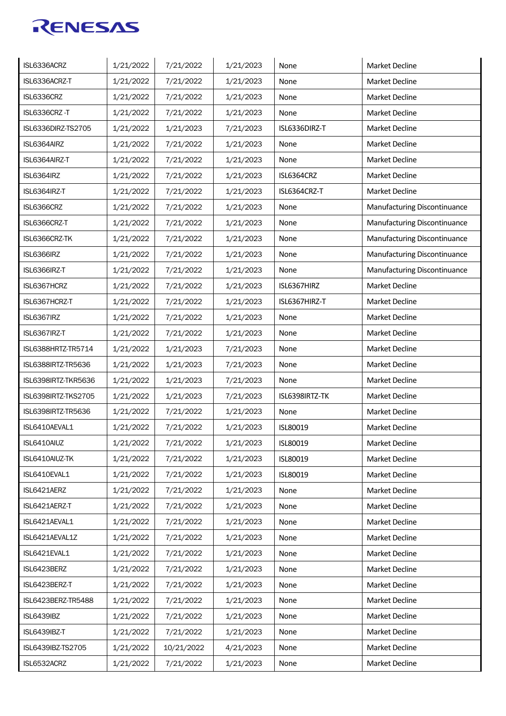| ISL6336ACRZ         | 1/21/2022 | 7/21/2022  | 1/21/2023 | None           | Market Decline               |
|---------------------|-----------|------------|-----------|----------------|------------------------------|
| ISL6336ACRZ-T       | 1/21/2022 | 7/21/2022  | 1/21/2023 | None           | <b>Market Decline</b>        |
| ISL6336CRZ          | 1/21/2022 | 7/21/2022  | 1/21/2023 | None           | <b>Market Decline</b>        |
| ISL6336CRZ-T        | 1/21/2022 | 7/21/2022  | 1/21/2023 | None           | <b>Market Decline</b>        |
| ISL6336DIRZ-TS2705  | 1/21/2022 | 1/21/2023  | 7/21/2023 | ISL6336DIRZ-T  | <b>Market Decline</b>        |
| ISL6364AIRZ         | 1/21/2022 | 7/21/2022  | 1/21/2023 | None           | Market Decline               |
| ISL6364AIRZ-T       | 1/21/2022 | 7/21/2022  | 1/21/2023 | None           | <b>Market Decline</b>        |
| ISL6364IRZ          | 1/21/2022 | 7/21/2022  | 1/21/2023 | ISL6364CRZ     | <b>Market Decline</b>        |
| ISL6364IRZ-T        | 1/21/2022 | 7/21/2022  | 1/21/2023 | ISL6364CRZ-T   | <b>Market Decline</b>        |
| ISL6366CRZ          | 1/21/2022 | 7/21/2022  | 1/21/2023 | None           | Manufacturing Discontinuance |
| ISL6366CRZ-T        | 1/21/2022 | 7/21/2022  | 1/21/2023 | None           | Manufacturing Discontinuance |
| ISL6366CRZ-TK       | 1/21/2022 | 7/21/2022  | 1/21/2023 | None           | Manufacturing Discontinuance |
| ISL6366IRZ          | 1/21/2022 | 7/21/2022  | 1/21/2023 | None           | Manufacturing Discontinuance |
| ISL6366IRZ-T        | 1/21/2022 | 7/21/2022  | 1/21/2023 | None           | Manufacturing Discontinuance |
| ISL6367HCRZ         | 1/21/2022 | 7/21/2022  | 1/21/2023 | ISL6367HIRZ    | <b>Market Decline</b>        |
| ISL6367HCRZ-T       | 1/21/2022 | 7/21/2022  | 1/21/2023 | ISL6367HIRZ-T  | <b>Market Decline</b>        |
| ISL6367IRZ          | 1/21/2022 | 7/21/2022  | 1/21/2023 | None           | <b>Market Decline</b>        |
| ISL6367IRZ-T        | 1/21/2022 | 7/21/2022  | 1/21/2023 | None           | <b>Market Decline</b>        |
| ISL6388HRTZ-TR5714  | 1/21/2022 | 1/21/2023  | 7/21/2023 | None           | <b>Market Decline</b>        |
| ISL6388IRTZ-TR5636  | 1/21/2022 | 1/21/2023  | 7/21/2023 | None           | <b>Market Decline</b>        |
| ISL6398IRTZ-TKR5636 | 1/21/2022 | 1/21/2023  | 7/21/2023 | None           | <b>Market Decline</b>        |
| ISL6398IRTZ-TKS2705 | 1/21/2022 | 1/21/2023  | 7/21/2023 | ISL6398IRTZ-TK | <b>Market Decline</b>        |
| ISL6398IRTZ-TR5636  | 1/21/2022 | 7/21/2022  | 1/21/2023 | None           | <b>Market Decline</b>        |
| ISL6410AEVAL1       | 1/21/2022 | 7/21/2022  | 1/21/2023 | ISL80019       | Market Decline               |
| ISL6410AIUZ         | 1/21/2022 | 7/21/2022  | 1/21/2023 | ISL80019       | <b>Market Decline</b>        |
| ISL6410AIUZ-TK      | 1/21/2022 | 7/21/2022  | 1/21/2023 | ISL80019       | Market Decline               |
| ISL6410EVAL1        | 1/21/2022 | 7/21/2022  | 1/21/2023 | ISL80019       | Market Decline               |
| ISL6421AERZ         | 1/21/2022 | 7/21/2022  | 1/21/2023 | None           | Market Decline               |
| ISL6421AERZ-T       | 1/21/2022 | 7/21/2022  | 1/21/2023 | None           | Market Decline               |
| ISL6421AEVAL1       | 1/21/2022 | 7/21/2022  | 1/21/2023 | None           | Market Decline               |
| ISL6421AEVAL1Z      | 1/21/2022 | 7/21/2022  | 1/21/2023 | None           | Market Decline               |
| ISL6421EVAL1        | 1/21/2022 | 7/21/2022  | 1/21/2023 | None           | Market Decline               |
| ISL6423BERZ         | 1/21/2022 | 7/21/2022  | 1/21/2023 | None           | Market Decline               |
| ISL6423BERZ-T       | 1/21/2022 | 7/21/2022  | 1/21/2023 | None           | Market Decline               |
| ISL6423BERZ-TR5488  | 1/21/2022 | 7/21/2022  | 1/21/2023 | None           | Market Decline               |
| <b>ISL6439IBZ</b>   | 1/21/2022 | 7/21/2022  | 1/21/2023 | None           | Market Decline               |
| ISL6439IBZ-T        | 1/21/2022 | 7/21/2022  | 1/21/2023 | None           | Market Decline               |
| ISL6439IBZ-TS2705   | 1/21/2022 | 10/21/2022 | 4/21/2023 | None           | Market Decline               |
| ISL6532ACRZ         | 1/21/2022 | 7/21/2022  | 1/21/2023 | None           | Market Decline               |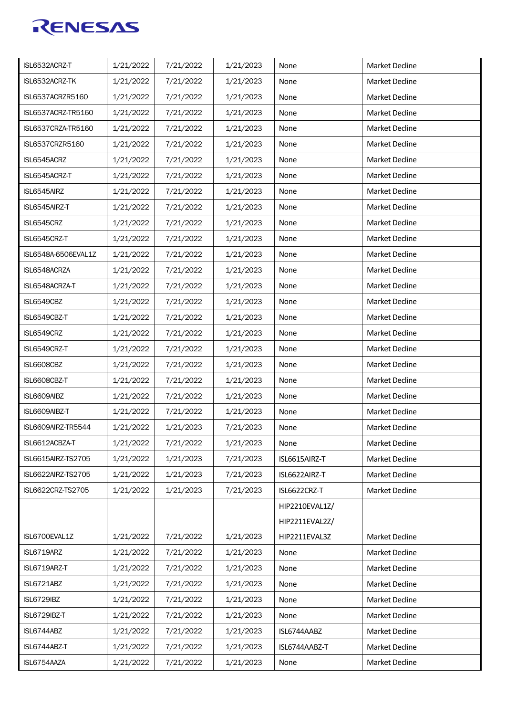| ISL6532ACRZ-T       | 1/21/2022 | 7/21/2022 | 1/21/2023 | None           | Market Decline        |
|---------------------|-----------|-----------|-----------|----------------|-----------------------|
| ISL6532ACRZ-TK      | 1/21/2022 | 7/21/2022 | 1/21/2023 | None           | Market Decline        |
| ISL6537ACRZR5160    | 1/21/2022 | 7/21/2022 | 1/21/2023 | None           | Market Decline        |
| ISL6537ACRZ-TR5160  | 1/21/2022 | 7/21/2022 | 1/21/2023 | None           | <b>Market Decline</b> |
| ISL6537CRZA-TR5160  | 1/21/2022 | 7/21/2022 | 1/21/2023 | None           | <b>Market Decline</b> |
| ISL6537CRZR5160     | 1/21/2022 | 7/21/2022 | 1/21/2023 | None           | <b>Market Decline</b> |
| ISL6545ACRZ         | 1/21/2022 | 7/21/2022 | 1/21/2023 | None           | <b>Market Decline</b> |
| ISL6545ACRZ-T       | 1/21/2022 | 7/21/2022 | 1/21/2023 | None           | <b>Market Decline</b> |
| ISL6545AIRZ         | 1/21/2022 | 7/21/2022 | 1/21/2023 | None           | <b>Market Decline</b> |
| ISL6545AIRZ-T       | 1/21/2022 | 7/21/2022 | 1/21/2023 | None           | <b>Market Decline</b> |
| ISL6545CRZ          | 1/21/2022 | 7/21/2022 | 1/21/2023 | None           | <b>Market Decline</b> |
| ISL6545CRZ-T        | 1/21/2022 | 7/21/2022 | 1/21/2023 | None           | <b>Market Decline</b> |
| ISL6548A-6506EVAL1Z | 1/21/2022 | 7/21/2022 | 1/21/2023 | None           | <b>Market Decline</b> |
| ISL6548ACRZA        | 1/21/2022 | 7/21/2022 | 1/21/2023 | None           | Market Decline        |
| ISL6548ACRZA-T      | 1/21/2022 | 7/21/2022 | 1/21/2023 | None           | <b>Market Decline</b> |
| ISL6549CBZ          | 1/21/2022 | 7/21/2022 | 1/21/2023 | None           | <b>Market Decline</b> |
| ISL6549CBZ-T        | 1/21/2022 | 7/21/2022 | 1/21/2023 | None           | <b>Market Decline</b> |
| ISL6549CRZ          | 1/21/2022 | 7/21/2022 | 1/21/2023 | None           | <b>Market Decline</b> |
| ISL6549CRZ-T        | 1/21/2022 | 7/21/2022 | 1/21/2023 | None           | <b>Market Decline</b> |
| ISL6608CBZ          | 1/21/2022 | 7/21/2022 | 1/21/2023 | None           | <b>Market Decline</b> |
| ISL6608CBZ-T        | 1/21/2022 | 7/21/2022 | 1/21/2023 | None           | Market Decline        |
| ISL6609AIBZ         | 1/21/2022 | 7/21/2022 | 1/21/2023 | None           | <b>Market Decline</b> |
| ISL6609AIBZ-T       | 1/21/2022 | 7/21/2022 | 1/21/2023 | None           | Market Decline        |
| ISL6609AIRZ-TR5544  | 1/21/2022 | 1/21/2023 | 7/21/2023 | None           | Market Decline        |
| ISL6612ACBZA-T      | 1/21/2022 | 7/21/2022 | 1/21/2023 | None           | Market Decline        |
| ISL6615AIRZ-TS2705  | 1/21/2022 | 1/21/2023 | 7/21/2023 | ISL6615AIRZ-T  | Market Decline        |
| ISL6622AIRZ-TS2705  | 1/21/2022 | 1/21/2023 | 7/21/2023 | ISL6622AIRZ-T  | Market Decline        |
| ISL6622CRZ-TS2705   | 1/21/2022 | 1/21/2023 | 7/21/2023 | ISL6622CRZ-T   | Market Decline        |
|                     |           |           |           | HIP2210EVAL1Z/ |                       |
|                     |           |           |           | HIP2211EVAL2Z/ |                       |
| ISL6700EVAL1Z       | 1/21/2022 | 7/21/2022 | 1/21/2023 | HIP2211EVAL3Z  | Market Decline        |
| ISL6719ARZ          | 1/21/2022 | 7/21/2022 | 1/21/2023 | None           | Market Decline        |
| ISL6719ARZ-T        | 1/21/2022 | 7/21/2022 | 1/21/2023 | None           | Market Decline        |
| ISL6721ABZ          | 1/21/2022 | 7/21/2022 | 1/21/2023 | None           | Market Decline        |
| <b>ISL6729IBZ</b>   | 1/21/2022 | 7/21/2022 | 1/21/2023 | None           | Market Decline        |
| ISL6729IBZ-T        | 1/21/2022 | 7/21/2022 | 1/21/2023 | None           | Market Decline        |
| ISL6744ABZ          | 1/21/2022 | 7/21/2022 | 1/21/2023 | ISL6744AABZ    | Market Decline        |
| ISL6744ABZ-T        | 1/21/2022 | 7/21/2022 | 1/21/2023 | ISL6744AABZ-T  | Market Decline        |
| ISL6754AAZA         | 1/21/2022 | 7/21/2022 | 1/21/2023 | None           | Market Decline        |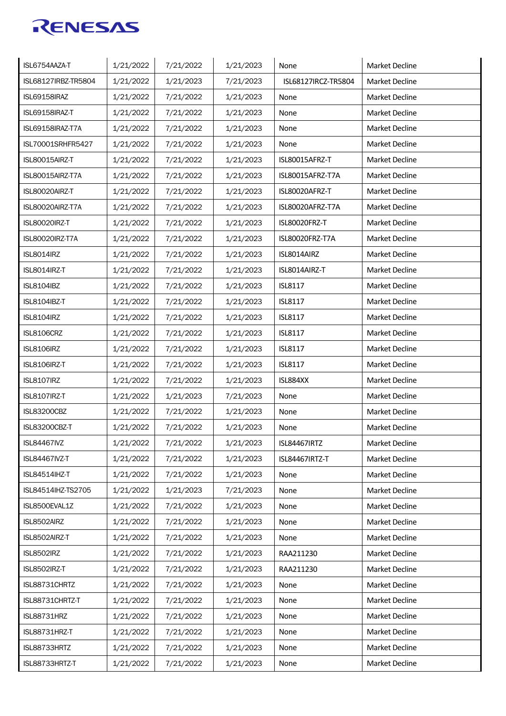| ISL6754AAZA-T        | 1/21/2022 | 7/21/2022 | 1/21/2023 | None                 | Market Decline        |
|----------------------|-----------|-----------|-----------|----------------------|-----------------------|
| ISL68127IRBZ-TR5804  | 1/21/2022 | 1/21/2023 | 7/21/2023 | ISL68127IRCZ-TR5804  | Market Decline        |
| ISL69158IRAZ         | 1/21/2022 | 7/21/2022 | 1/21/2023 | None                 | Market Decline        |
| ISL69158IRAZ-T       | 1/21/2022 | 7/21/2022 | 1/21/2023 | None                 | <b>Market Decline</b> |
| ISL69158IRAZ-T7A     | 1/21/2022 | 7/21/2022 | 1/21/2023 | None                 | <b>Market Decline</b> |
| ISL70001SRHFR5427    | 1/21/2022 | 7/21/2022 | 1/21/2023 | None                 | <b>Market Decline</b> |
| ISL80015AIRZ-T       | 1/21/2022 | 7/21/2022 | 1/21/2023 | ISL80015AFRZ-T       | <b>Market Decline</b> |
| ISL80015AIRZ-T7A     | 1/21/2022 | 7/21/2022 | 1/21/2023 | ISL80015AFRZ-T7A     | <b>Market Decline</b> |
| ISL80020AIRZ-T       | 1/21/2022 | 7/21/2022 | 1/21/2023 | ISL80020AFRZ-T       | <b>Market Decline</b> |
| ISL80020AIRZ-T7A     | 1/21/2022 | 7/21/2022 | 1/21/2023 | ISL80020AFRZ-T7A     | <b>Market Decline</b> |
| ISL80020IRZ-T        | 1/21/2022 | 7/21/2022 | 1/21/2023 | <b>ISL80020FRZ-T</b> | <b>Market Decline</b> |
| ISL80020IRZ-T7A      | 1/21/2022 | 7/21/2022 | 1/21/2023 | ISL80020FRZ-T7A      | <b>Market Decline</b> |
| <b>ISL8014IRZ</b>    | 1/21/2022 | 7/21/2022 | 1/21/2023 | ISL8014AIRZ          | <b>Market Decline</b> |
| ISL8014IRZ-T         | 1/21/2022 | 7/21/2022 | 1/21/2023 | ISL8014AIRZ-T        | Market Decline        |
| <b>ISL8104IBZ</b>    | 1/21/2022 | 7/21/2022 | 1/21/2023 | <b>ISL8117</b>       | <b>Market Decline</b> |
| ISL8104IBZ-T         | 1/21/2022 | 7/21/2022 | 1/21/2023 | <b>ISL8117</b>       | <b>Market Decline</b> |
| <b>ISL8104IRZ</b>    | 1/21/2022 | 7/21/2022 | 1/21/2023 | <b>ISL8117</b>       | <b>Market Decline</b> |
| <b>ISL8106CRZ</b>    | 1/21/2022 | 7/21/2022 | 1/21/2023 | <b>ISL8117</b>       | <b>Market Decline</b> |
| <b>ISL8106IRZ</b>    | 1/21/2022 | 7/21/2022 | 1/21/2023 | <b>ISL8117</b>       | <b>Market Decline</b> |
| <b>ISL8106IRZ-T</b>  | 1/21/2022 | 7/21/2022 | 1/21/2023 | <b>ISL8117</b>       | <b>Market Decline</b> |
| ISL8107IRZ           | 1/21/2022 | 7/21/2022 | 1/21/2023 | ISL884XX             | Market Decline        |
| ISL8107IRZ-T         | 1/21/2022 | 1/21/2023 | 7/21/2023 | None                 | <b>Market Decline</b> |
| <b>ISL83200CBZ</b>   | 1/21/2022 | 7/21/2022 | 1/21/2023 | None                 | Market Decline        |
| <b>ISL83200CBZ-T</b> | 1/21/2022 | 7/21/2022 | 1/21/2023 | None                 | Market Decline        |
| <b>ISL84467IVZ</b>   | 1/21/2022 | 7/21/2022 | 1/21/2023 | ISL84467IRTZ         | Market Decline        |
| ISL84467IVZ-T        | 1/21/2022 | 7/21/2022 | 1/21/2023 | ISL84467IRTZ-T       | Market Decline        |
| ISL84514IHZ-T        | 1/21/2022 | 7/21/2022 | 1/21/2023 | None                 | Market Decline        |
| ISL84514IHZ-TS2705   | 1/21/2022 | 1/21/2023 | 7/21/2023 | None                 | Market Decline        |
| ISL8500EVAL1Z        | 1/21/2022 | 7/21/2022 | 1/21/2023 | None                 | Market Decline        |
| ISL8502AIRZ          | 1/21/2022 | 7/21/2022 | 1/21/2023 | None                 | Market Decline        |
| ISL8502AIRZ-T        | 1/21/2022 | 7/21/2022 | 1/21/2023 | None                 | Market Decline        |
| <b>ISL8502IRZ</b>    | 1/21/2022 | 7/21/2022 | 1/21/2023 | RAA211230            | Market Decline        |
| ISL8502IRZ-T         | 1/21/2022 | 7/21/2022 | 1/21/2023 | RAA211230            | Market Decline        |
| ISL88731CHRTZ        | 1/21/2022 | 7/21/2022 | 1/21/2023 | None                 | Market Decline        |
| ISL88731CHRTZ-T      | 1/21/2022 | 7/21/2022 | 1/21/2023 | None                 | Market Decline        |
| ISL88731HRZ          | 1/21/2022 | 7/21/2022 | 1/21/2023 | None                 | Market Decline        |
| ISL88731HRZ-T        | 1/21/2022 | 7/21/2022 | 1/21/2023 | None                 | Market Decline        |
| ISL88733HRTZ         | 1/21/2022 | 7/21/2022 | 1/21/2023 | None                 | Market Decline        |
| ISL88733HRTZ-T       | 1/21/2022 | 7/21/2022 | 1/21/2023 | None                 | Market Decline        |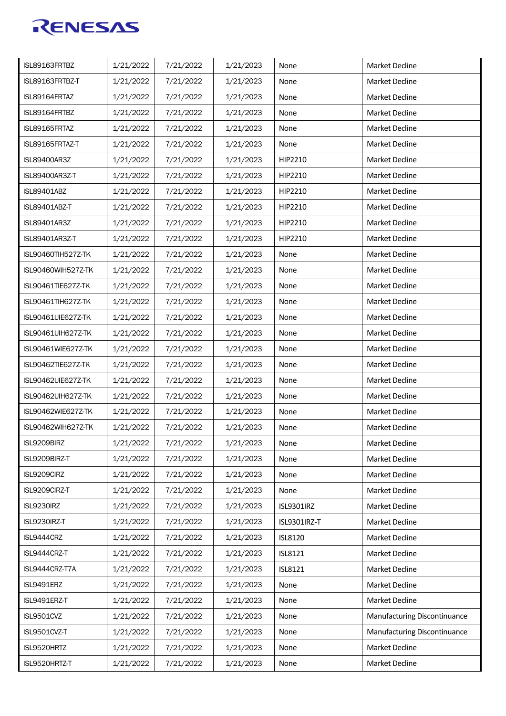| ISL89163FRTBZ-T<br>1/21/2022<br>7/21/2022<br>1/21/2023<br>Market Decline<br>None<br>ISL89164FRTAZ<br>1/21/2022<br>Market Decline<br>7/21/2022<br>1/21/2023<br>None<br><b>Market Decline</b><br>ISL89164FRTBZ<br>1/21/2022<br>1/21/2023<br>None<br>7/21/2022<br>ISL89165FRTAZ<br>1/21/2022<br>7/21/2022<br>1/21/2023<br><b>Market Decline</b><br>None<br>ISL89165FRTAZ-T<br>1/21/2022<br>7/21/2022<br>1/21/2023<br><b>Market Decline</b><br>None<br><b>Market Decline</b><br><b>ISL89400AR3Z</b><br>1/21/2022<br>7/21/2022<br>1/21/2023<br>HIP2210<br>ISL89400AR3Z-T<br>1/21/2022<br>7/21/2022<br>1/21/2023<br>HIP2210<br><b>Market Decline</b> |
|------------------------------------------------------------------------------------------------------------------------------------------------------------------------------------------------------------------------------------------------------------------------------------------------------------------------------------------------------------------------------------------------------------------------------------------------------------------------------------------------------------------------------------------------------------------------------------------------------------------------------------------------|
|                                                                                                                                                                                                                                                                                                                                                                                                                                                                                                                                                                                                                                                |
|                                                                                                                                                                                                                                                                                                                                                                                                                                                                                                                                                                                                                                                |
|                                                                                                                                                                                                                                                                                                                                                                                                                                                                                                                                                                                                                                                |
|                                                                                                                                                                                                                                                                                                                                                                                                                                                                                                                                                                                                                                                |
|                                                                                                                                                                                                                                                                                                                                                                                                                                                                                                                                                                                                                                                |
|                                                                                                                                                                                                                                                                                                                                                                                                                                                                                                                                                                                                                                                |
|                                                                                                                                                                                                                                                                                                                                                                                                                                                                                                                                                                                                                                                |
| <b>Market Decline</b><br><b>ISL89401ABZ</b><br>1/21/2022<br>7/21/2022<br>1/21/2023<br>HIP2210                                                                                                                                                                                                                                                                                                                                                                                                                                                                                                                                                  |
| 1/21/2022<br>7/21/2022<br><b>ISL89401ABZ-T</b><br>1/21/2023<br>HIP2210<br><b>Market Decline</b>                                                                                                                                                                                                                                                                                                                                                                                                                                                                                                                                                |
| <b>ISL89401AR3Z</b><br>1/21/2022<br>7/21/2022<br>1/21/2023<br>HIP2210<br><b>Market Decline</b>                                                                                                                                                                                                                                                                                                                                                                                                                                                                                                                                                 |
| HIP2210<br><b>ISL89401AR3Z-T</b><br>1/21/2022<br><b>Market Decline</b><br>7/21/2022<br>1/21/2023                                                                                                                                                                                                                                                                                                                                                                                                                                                                                                                                               |
| ISL90460TIH527Z-TK<br>1/21/2022<br>7/21/2022<br>1/21/2023<br>None<br><b>Market Decline</b>                                                                                                                                                                                                                                                                                                                                                                                                                                                                                                                                                     |
| Market Decline<br>ISL90460WIH527Z-TK<br>1/21/2022<br>7/21/2022<br>1/21/2023<br>None                                                                                                                                                                                                                                                                                                                                                                                                                                                                                                                                                            |
| <b>Market Decline</b><br>ISL90461TIE627Z-TK<br>1/21/2022<br>7/21/2022<br>1/21/2023<br>None                                                                                                                                                                                                                                                                                                                                                                                                                                                                                                                                                     |
| ISL90461TIH627Z-TK<br><b>Market Decline</b><br>1/21/2022<br>7/21/2022<br>1/21/2023<br>None                                                                                                                                                                                                                                                                                                                                                                                                                                                                                                                                                     |
| ISL90461UIE627Z-TK<br>1/21/2022<br>7/21/2022<br>1/21/2023<br><b>Market Decline</b><br>None                                                                                                                                                                                                                                                                                                                                                                                                                                                                                                                                                     |
| <b>Market Decline</b><br>ISL90461UIH627Z-TK<br>1/21/2022<br>7/21/2022<br>1/21/2023<br>None                                                                                                                                                                                                                                                                                                                                                                                                                                                                                                                                                     |
| 1/21/2022<br>ISL90461WIE627Z-TK<br>7/21/2022<br>1/21/2023<br><b>Market Decline</b><br>None                                                                                                                                                                                                                                                                                                                                                                                                                                                                                                                                                     |
| ISL90462TIE627Z-TK<br>1/21/2022<br>7/21/2022<br>1/21/2023<br>None<br><b>Market Decline</b>                                                                                                                                                                                                                                                                                                                                                                                                                                                                                                                                                     |
| ISL90462UIE627Z-TK<br>1/21/2022<br>7/21/2022<br>1/21/2023<br>Market Decline<br>None                                                                                                                                                                                                                                                                                                                                                                                                                                                                                                                                                            |
| ISL90462UIH627Z-TK<br>1/21/2022<br>7/21/2022<br>1/21/2023<br>None<br><b>Market Decline</b>                                                                                                                                                                                                                                                                                                                                                                                                                                                                                                                                                     |
| ISL90462WIE627Z-TK<br>7/21/2022<br>1/21/2023<br>Market Decline<br>1/21/2022<br>None                                                                                                                                                                                                                                                                                                                                                                                                                                                                                                                                                            |
| ISL90462WIH627Z-TK<br>1/21/2023<br>1/21/2022<br>7/21/2022<br>None<br>Market Decline                                                                                                                                                                                                                                                                                                                                                                                                                                                                                                                                                            |
| 1/21/2022<br>7/21/2022<br>1/21/2023<br>ISL9209BIRZ<br>Market Decline<br>None                                                                                                                                                                                                                                                                                                                                                                                                                                                                                                                                                                   |
| Market Decline<br>ISL9209BIRZ-T<br>1/21/2022<br>7/21/2022<br>1/21/2023<br>None                                                                                                                                                                                                                                                                                                                                                                                                                                                                                                                                                                 |
| Market Decline<br>ISL9209CIRZ<br>1/21/2022<br>7/21/2022<br>1/21/2023<br>None                                                                                                                                                                                                                                                                                                                                                                                                                                                                                                                                                                   |
| ISL9209CIRZ-T<br>1/21/2022<br>7/21/2022<br>1/21/2023<br>Market Decline<br>None                                                                                                                                                                                                                                                                                                                                                                                                                                                                                                                                                                 |
| 1/21/2022<br>7/21/2022<br>1/21/2023<br><b>ISL9301IRZ</b><br>Market Decline<br>ISL9230IRZ                                                                                                                                                                                                                                                                                                                                                                                                                                                                                                                                                       |
| 1/21/2022<br>Market Decline<br>ISL9230IRZ-T<br>7/21/2022<br>1/21/2023<br>ISL9301IRZ-T                                                                                                                                                                                                                                                                                                                                                                                                                                                                                                                                                          |
| 1/21/2022<br>ISL9444CRZ<br>7/21/2022<br>1/21/2023<br>Market Decline<br><b>ISL8120</b>                                                                                                                                                                                                                                                                                                                                                                                                                                                                                                                                                          |
| ISL9444CRZ-T<br>1/21/2022<br>1/21/2023<br>7/21/2022<br><b>ISL8121</b><br>Market Decline                                                                                                                                                                                                                                                                                                                                                                                                                                                                                                                                                        |
| ISL9444CRZ-T7A<br>7/21/2022<br>1/21/2022<br>1/21/2023<br><b>ISL8121</b><br>Market Decline                                                                                                                                                                                                                                                                                                                                                                                                                                                                                                                                                      |
| Market Decline<br>ISL9491ERZ<br>1/21/2022<br>7/21/2022<br>1/21/2023<br>None                                                                                                                                                                                                                                                                                                                                                                                                                                                                                                                                                                    |
| ISL9491ERZ-T<br>1/21/2022<br>7/21/2022<br>1/21/2023<br>None<br>Market Decline                                                                                                                                                                                                                                                                                                                                                                                                                                                                                                                                                                  |
| Manufacturing Discontinuance<br>ISL9501CVZ<br>1/21/2022<br>7/21/2022<br>1/21/2023<br>None                                                                                                                                                                                                                                                                                                                                                                                                                                                                                                                                                      |
| ISL9501CVZ-T<br>Manufacturing Discontinuance<br>1/21/2022<br>7/21/2022<br>1/21/2023<br>None                                                                                                                                                                                                                                                                                                                                                                                                                                                                                                                                                    |
| 1/21/2022<br>1/21/2023<br>Market Decline<br>ISL9520HRTZ<br>7/21/2022<br>None                                                                                                                                                                                                                                                                                                                                                                                                                                                                                                                                                                   |
| 1/21/2022<br>ISL9520HRTZ-T<br>7/21/2022<br>1/21/2023<br>Market Decline<br>None                                                                                                                                                                                                                                                                                                                                                                                                                                                                                                                                                                 |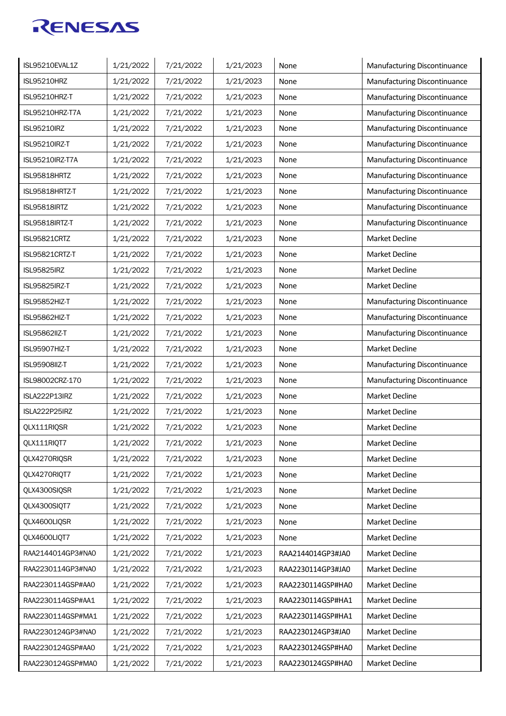| ISL95210EVAL1Z       | 1/21/2022 | 7/21/2022 | 1/21/2023 | None              | Manufacturing Discontinuance |
|----------------------|-----------|-----------|-----------|-------------------|------------------------------|
| <b>ISL95210HRZ</b>   | 1/21/2022 | 7/21/2022 | 1/21/2023 | None              | Manufacturing Discontinuance |
| ISL95210HRZ-T        | 1/21/2022 | 7/21/2022 | 1/21/2023 | None              | Manufacturing Discontinuance |
| ISL95210HRZ-T7A      | 1/21/2022 | 7/21/2022 | 1/21/2023 | None              | Manufacturing Discontinuance |
| <b>ISL95210IRZ</b>   | 1/21/2022 | 7/21/2022 | 1/21/2023 | None              | Manufacturing Discontinuance |
| <b>ISL95210IRZ-T</b> | 1/21/2022 | 7/21/2022 | 1/21/2023 | None              | Manufacturing Discontinuance |
| ISL95210IRZ-T7A      | 1/21/2022 | 7/21/2022 | 1/21/2023 | None              | Manufacturing Discontinuance |
| ISL95818HRTZ         | 1/21/2022 | 7/21/2022 | 1/21/2023 | None              | Manufacturing Discontinuance |
| ISL95818HRTZ-T       | 1/21/2022 | 7/21/2022 | 1/21/2023 | None              | Manufacturing Discontinuance |
| ISL95818IRTZ         | 1/21/2022 | 7/21/2022 | 1/21/2023 | None              | Manufacturing Discontinuance |
| ISL95818IRTZ-T       | 1/21/2022 | 7/21/2022 | 1/21/2023 | None              | Manufacturing Discontinuance |
| ISL95821CRTZ         | 1/21/2022 | 7/21/2022 | 1/21/2023 | None              | <b>Market Decline</b>        |
| ISL95821CRTZ-T       | 1/21/2022 | 7/21/2022 | 1/21/2023 | None              | Market Decline               |
| <b>ISL95825IRZ</b>   | 1/21/2022 | 7/21/2022 | 1/21/2023 | None              | Market Decline               |
| <b>ISL95825IRZ-T</b> | 1/21/2022 | 7/21/2022 | 1/21/2023 | None              | Market Decline               |
| ISL95852HIZ-T        | 1/21/2022 | 7/21/2022 | 1/21/2023 | None              | Manufacturing Discontinuance |
| ISL95862HIZ-T        | 1/21/2022 | 7/21/2022 | 1/21/2023 | None              | Manufacturing Discontinuance |
| <b>ISL95862IIZ-T</b> | 1/21/2022 | 7/21/2022 | 1/21/2023 | None              | Manufacturing Discontinuance |
| ISL95907HIZ-T        | 1/21/2022 | 7/21/2022 | 1/21/2023 | None              | Market Decline               |
| <b>ISL95908IIZ-T</b> | 1/21/2022 | 7/21/2022 | 1/21/2023 | None              | Manufacturing Discontinuance |
| ISL98002CRZ-170      | 1/21/2022 | 7/21/2022 | 1/21/2023 | None              | Manufacturing Discontinuance |
| ISLA222P13IRZ        | 1/21/2022 | 7/21/2022 | 1/21/2023 | None              | Market Decline               |
| ISLA222P25IRZ        | 1/21/2022 | 7/21/2022 | 1/21/2023 | None              | Market Decline               |
| QLX111RIQSR          | 1/21/2022 | 7/21/2022 | 1/21/2023 | None              | Market Decline               |
| QLX111RIQT7          | 1/21/2022 | 7/21/2022 | 1/21/2023 | None              | <b>Market Decline</b>        |
| QLX4270RIQSR         | 1/21/2022 | 7/21/2022 | 1/21/2023 | None              | Market Decline               |
| QLX4270RIQT7         | 1/21/2022 | 7/21/2022 | 1/21/2023 | None              | Market Decline               |
| QLX4300SIQSR         | 1/21/2022 | 7/21/2022 | 1/21/2023 | None              | Market Decline               |
| OLX4300SIOT7         | 1/21/2022 | 7/21/2022 | 1/21/2023 | None              | Market Decline               |
| QLX4600LIQSR         | 1/21/2022 | 7/21/2022 | 1/21/2023 | None              | Market Decline               |
| QLX4600LIQT7         | 1/21/2022 | 7/21/2022 | 1/21/2023 | None              | Market Decline               |
| RAA2144014GP3#NA0    | 1/21/2022 | 7/21/2022 | 1/21/2023 | RAA2144014GP3#JA0 | Market Decline               |
| RAA2230114GP3#NA0    | 1/21/2022 | 7/21/2022 | 1/21/2023 | RAA2230114GP3#JA0 | Market Decline               |
| RAA2230114GSP#AA0    | 1/21/2022 | 7/21/2022 | 1/21/2023 | RAA2230114GSP#HA0 | Market Decline               |
| RAA2230114GSP#AA1    | 1/21/2022 | 7/21/2022 | 1/21/2023 | RAA2230114GSP#HA1 | Market Decline               |
| RAA2230114GSP#MA1    | 1/21/2022 | 7/21/2022 | 1/21/2023 | RAA2230114GSP#HA1 | Market Decline               |
| RAA2230124GP3#NA0    | 1/21/2022 | 7/21/2022 | 1/21/2023 | RAA2230124GP3#JA0 | Market Decline               |
| RAA2230124GSP#AA0    | 1/21/2022 | 7/21/2022 | 1/21/2023 | RAA2230124GSP#HA0 | Market Decline               |
| RAA2230124GSP#MA0    | 1/21/2022 | 7/21/2022 | 1/21/2023 | RAA2230124GSP#HA0 | Market Decline               |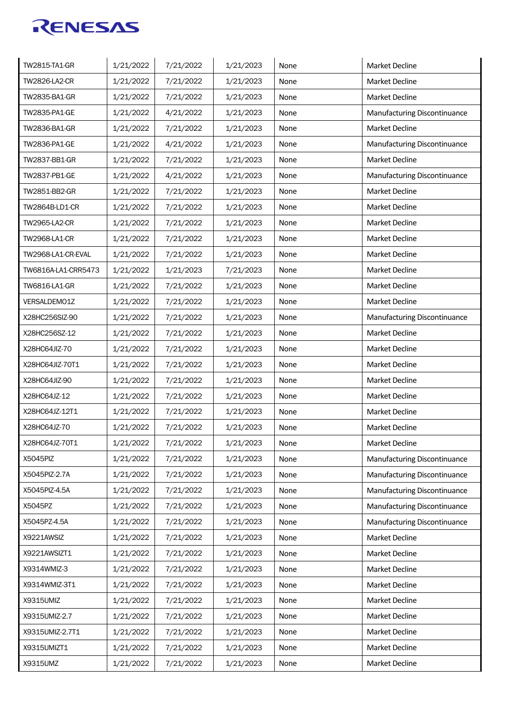| TW2815-TA1-GR       | 1/21/2022 | 7/21/2022 | 1/21/2023 | None | Market Decline               |
|---------------------|-----------|-----------|-----------|------|------------------------------|
| TW2826-LA2-CR       | 1/21/2022 | 7/21/2022 | 1/21/2023 | None | <b>Market Decline</b>        |
| TW2835-BA1-GR       | 1/21/2022 | 7/21/2022 | 1/21/2023 | None | Market Decline               |
| TW2835-PA1-GE       | 1/21/2022 | 4/21/2022 | 1/21/2023 | None | Manufacturing Discontinuance |
| TW2836-BA1-GR       | 1/21/2022 | 7/21/2022 | 1/21/2023 | None | <b>Market Decline</b>        |
| TW2836-PA1-GE       | 1/21/2022 | 4/21/2022 | 1/21/2023 | None | Manufacturing Discontinuance |
| TW2837-BB1-GR       | 1/21/2022 | 7/21/2022 | 1/21/2023 | None | <b>Market Decline</b>        |
| TW2837-PB1-GE       | 1/21/2022 | 4/21/2022 | 1/21/2023 | None | Manufacturing Discontinuance |
| TW2851-BB2-GR       | 1/21/2022 | 7/21/2022 | 1/21/2023 | None | <b>Market Decline</b>        |
| TW2864B-LD1-CR      | 1/21/2022 | 7/21/2022 | 1/21/2023 | None | <b>Market Decline</b>        |
| TW2965-LA2-CR       | 1/21/2022 | 7/21/2022 | 1/21/2023 | None | <b>Market Decline</b>        |
| TW2968-LA1-CR       | 1/21/2022 | 7/21/2022 | 1/21/2023 | None | <b>Market Decline</b>        |
| TW2968-LA1-CR-EVAL  | 1/21/2022 | 7/21/2022 | 1/21/2023 | None | <b>Market Decline</b>        |
| TW6816A-LA1-CRR5473 | 1/21/2022 | 1/21/2023 | 7/21/2023 | None | Market Decline               |
| TW6816-LA1-GR       | 1/21/2022 | 7/21/2022 | 1/21/2023 | None | Market Decline               |
| VERSALDEMO1Z        | 1/21/2022 | 7/21/2022 | 1/21/2023 | None | <b>Market Decline</b>        |
| X28HC256SIZ-90      | 1/21/2022 | 7/21/2022 | 1/21/2023 | None | Manufacturing Discontinuance |
| X28HC256SZ-12       | 1/21/2022 | 7/21/2022 | 1/21/2023 | None | <b>Market Decline</b>        |
| X28HC64JIZ-70       | 1/21/2022 | 7/21/2022 | 1/21/2023 | None | Market Decline               |
| X28HC64JIZ-70T1     | 1/21/2022 | 7/21/2022 | 1/21/2023 | None | <b>Market Decline</b>        |
| X28HC64JIZ-90       | 1/21/2022 | 7/21/2022 | 1/21/2023 | None | Market Decline               |
| X28HC64JZ-12        | 1/21/2022 | 7/21/2022 | 1/21/2023 | None | Market Decline               |
| X28HC64JZ-12T1      | 1/21/2022 | 7/21/2022 | 1/21/2023 | None | Market Decline               |
| X28HC64JZ-70        | 1/21/2022 | 7/21/2022 | 1/21/2023 | None | Market Decline               |
| X28HC64JZ-70T1      | 1/21/2022 | 7/21/2022 | 1/21/2023 | None | Market Decline               |
| X5045PIZ            | 1/21/2022 | 7/21/2022 | 1/21/2023 | None | Manufacturing Discontinuance |
| X5045PIZ-2.7A       | 1/21/2022 | 7/21/2022 | 1/21/2023 | None | Manufacturing Discontinuance |
| X5045PIZ-4.5A       | 1/21/2022 | 7/21/2022 | 1/21/2023 | None | Manufacturing Discontinuance |
| X5045PZ             | 1/21/2022 | 7/21/2022 | 1/21/2023 | None | Manufacturing Discontinuance |
| X5045PZ-4.5A        | 1/21/2022 | 7/21/2022 | 1/21/2023 | None | Manufacturing Discontinuance |
| X9221AWSIZ          | 1/21/2022 | 7/21/2022 | 1/21/2023 | None | Market Decline               |
| X9221AWSIZT1        | 1/21/2022 | 7/21/2022 | 1/21/2023 | None | Market Decline               |
| X9314WMIZ-3         | 1/21/2022 | 7/21/2022 | 1/21/2023 | None | Market Decline               |
| X9314WMIZ-3T1       | 1/21/2022 | 7/21/2022 | 1/21/2023 | None | Market Decline               |
| X9315UMIZ           | 1/21/2022 | 7/21/2022 | 1/21/2023 | None | Market Decline               |
| X9315UMIZ-2.7       | 1/21/2022 | 7/21/2022 | 1/21/2023 | None | Market Decline               |
| X9315UMIZ-2.7T1     | 1/21/2022 | 7/21/2022 | 1/21/2023 | None | Market Decline               |
| X9315UMIZT1         | 1/21/2022 | 7/21/2022 | 1/21/2023 | None | Market Decline               |
| X9315UMZ            | 1/21/2022 | 7/21/2022 | 1/21/2023 | None | Market Decline               |
|                     |           |           |           |      |                              |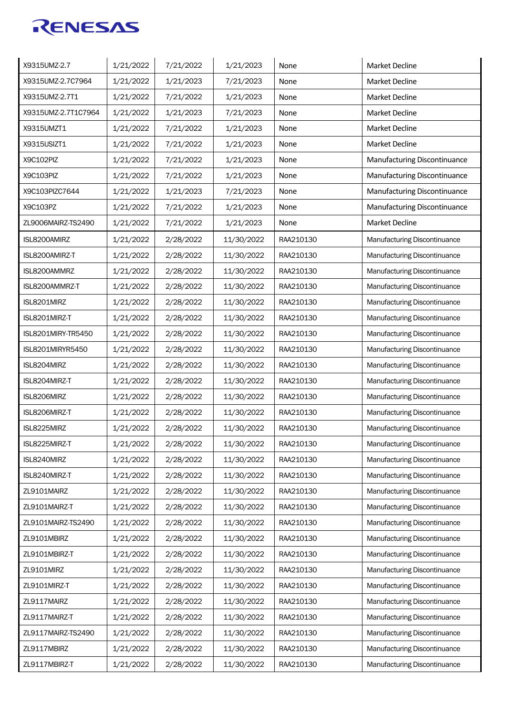| X9315UMZ-2.7        | 1/21/2022 | 7/21/2022 | 1/21/2023  | None      | Market Decline                      |
|---------------------|-----------|-----------|------------|-----------|-------------------------------------|
| X9315UMZ-2.7C7964   | 1/21/2022 | 1/21/2023 | 7/21/2023  | None      | <b>Market Decline</b>               |
| X9315UMZ-2.7T1      | 1/21/2022 | 7/21/2022 | 1/21/2023  | None      | Market Decline                      |
| X9315UMZ-2.7T1C7964 | 1/21/2022 | 1/21/2023 | 7/21/2023  | None      | Market Decline                      |
| X9315UMZT1          | 1/21/2022 | 7/21/2022 | 1/21/2023  | None      | <b>Market Decline</b>               |
| X9315USIZT1         | 1/21/2022 | 7/21/2022 | 1/21/2023  | None      | <b>Market Decline</b>               |
| X9C102PIZ           | 1/21/2022 | 7/21/2022 | 1/21/2023  | None      | Manufacturing Discontinuance        |
| X9C103PIZ           | 1/21/2022 | 7/21/2022 | 1/21/2023  | None      | Manufacturing Discontinuance        |
| X9C103PIZC7644      | 1/21/2022 | 1/21/2023 | 7/21/2023  | None      | Manufacturing Discontinuance        |
| X9C103PZ            | 1/21/2022 | 7/21/2022 | 1/21/2023  | None      | Manufacturing Discontinuance        |
| ZL9006MAIRZ-TS2490  | 1/21/2022 | 7/21/2022 | 1/21/2023  | None      | <b>Market Decline</b>               |
| ISL8200AMIRZ        | 1/21/2022 | 2/28/2022 | 11/30/2022 | RAA210130 | Manufacturing Discontinuance        |
| ISL8200AMIRZ-T      | 1/21/2022 | 2/28/2022 | 11/30/2022 | RAA210130 | Manufacturing Discontinuance        |
| ISL8200AMMRZ        | 1/21/2022 | 2/28/2022 | 11/30/2022 | RAA210130 | Manufacturing Discontinuance        |
| ISL8200AMMRZ-T      | 1/21/2022 | 2/28/2022 | 11/30/2022 | RAA210130 | Manufacturing Discontinuance        |
| ISL8201MIRZ         | 1/21/2022 | 2/28/2022 | 11/30/2022 | RAA210130 | Manufacturing Discontinuance        |
| ISL8201MIRZ-T       | 1/21/2022 | 2/28/2022 | 11/30/2022 | RAA210130 | Manufacturing Discontinuance        |
| ISL8201MIRY-TR5450  | 1/21/2022 | 2/28/2022 | 11/30/2022 | RAA210130 | Manufacturing Discontinuance        |
| ISL8201MIRYR5450    | 1/21/2022 | 2/28/2022 | 11/30/2022 | RAA210130 | Manufacturing Discontinuance        |
| ISL8204MIRZ         | 1/21/2022 | 2/28/2022 | 11/30/2022 | RAA210130 | Manufacturing Discontinuance        |
| ISL8204MIRZ-T       | 1/21/2022 | 2/28/2022 | 11/30/2022 | RAA210130 | Manufacturing Discontinuance        |
| ISL8206MIRZ         | 1/21/2022 | 2/28/2022 | 11/30/2022 | RAA210130 | Manufacturing Discontinuance        |
| ISL8206MIRZ-T       | 1/21/2022 | 2/28/2022 | 11/30/2022 | RAA210130 | Manufacturing Discontinuance        |
| ISL8225MIRZ         | 1/21/2022 | 2/28/2022 | 11/30/2022 | RAA210130 | <b>Manufacturing Discontinuance</b> |
| ISL8225MIRZ-T       | 1/21/2022 | 2/28/2022 | 11/30/2022 | RAA210130 | Manufacturing Discontinuance        |
| ISL8240MIRZ         | 1/21/2022 | 2/28/2022 | 11/30/2022 | RAA210130 | Manufacturing Discontinuance        |
| ISL8240MIRZ-T       | 1/21/2022 | 2/28/2022 | 11/30/2022 | RAA210130 | Manufacturing Discontinuance        |
| ZL9101MAIRZ         | 1/21/2022 | 2/28/2022 | 11/30/2022 | RAA210130 | Manufacturing Discontinuance        |
| ZL9101MAIRZ-T       | 1/21/2022 | 2/28/2022 | 11/30/2022 | RAA210130 | Manufacturing Discontinuance        |
| ZL9101MAIRZ-TS2490  | 1/21/2022 | 2/28/2022 | 11/30/2022 | RAA210130 | Manufacturing Discontinuance        |
| ZL9101MBIRZ         | 1/21/2022 | 2/28/2022 | 11/30/2022 | RAA210130 | Manufacturing Discontinuance        |
| ZL9101MBIRZ-T       | 1/21/2022 | 2/28/2022 | 11/30/2022 | RAA210130 | Manufacturing Discontinuance        |
| ZL9101MIRZ          | 1/21/2022 | 2/28/2022 | 11/30/2022 | RAA210130 | Manufacturing Discontinuance        |
| ZL9101MIRZ-T        | 1/21/2022 | 2/28/2022 | 11/30/2022 | RAA210130 | Manufacturing Discontinuance        |
| ZL9117MAIRZ         | 1/21/2022 | 2/28/2022 | 11/30/2022 | RAA210130 | Manufacturing Discontinuance        |
| ZL9117MAIRZ-T       | 1/21/2022 | 2/28/2022 | 11/30/2022 | RAA210130 | Manufacturing Discontinuance        |
| ZL9117MAIRZ-TS2490  | 1/21/2022 | 2/28/2022 | 11/30/2022 | RAA210130 | Manufacturing Discontinuance        |
| ZL9117MBIRZ         | 1/21/2022 | 2/28/2022 | 11/30/2022 | RAA210130 | Manufacturing Discontinuance        |
| ZL9117MBIRZ-T       | 1/21/2022 | 2/28/2022 | 11/30/2022 | RAA210130 | Manufacturing Discontinuance        |